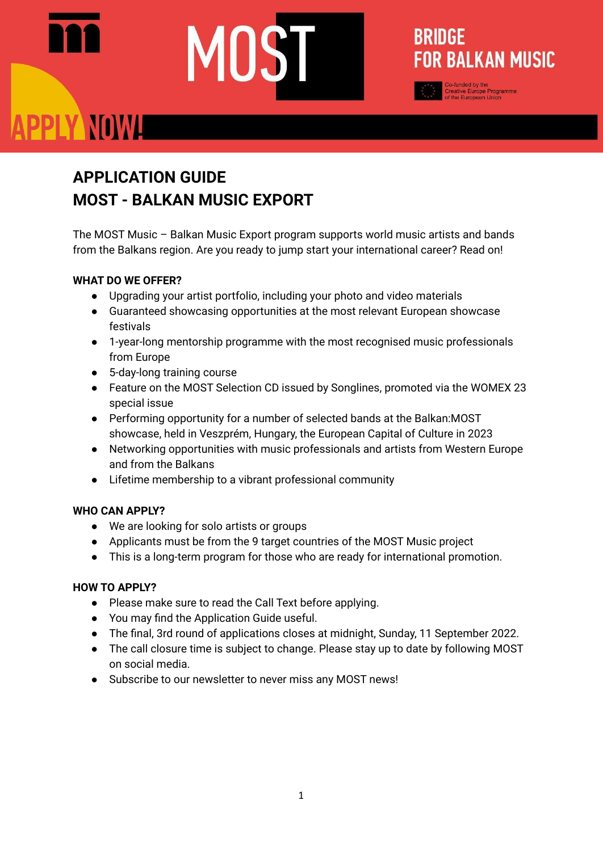# PPLY NOWL

# **APPLICATION GUIDE MOST - BALKAN MUSIC EXPORT**

The MOST Music – Balkan Music Export program supports world music artists and bands from the Balkans region. Are you ready to jump start your international career? Read on!

**BRIDGE** 

**FOR BALKAN MUSIC** 

# **WHAT DO WE OFFER?**

- Upgrading your artist portfolio, including your photo and video materials
- Guaranteed showcasing opportunities at the most relevant European showcase festivals
- 1-year-long mentorship programme with the most recognised music professionals from Europe
- 5-day-long training course
- Feature on the MOST Selection CD issued by Songlines, promoted via the WOMEX 23 special issue
- Performing opportunity for a number of selected bands at the Balkan:MOST showcase, held in Veszprém, Hungary, the European Capital of Culture in 2023
- Networking opportunities with music professionals and artists from Western Europe and from the Balkans
- Lifetime membership to a vibrant professional community

# **WHO CAN APPLY?**

- We are looking for solo artists or groups
- Applicants must be from the 9 target countries of the MOST Music project
- This is a long-term program for those who are ready for international promotion.

# **HOW TO APPLY?**

- Please make sure to read the Call Text before applying.
- You may find the Application Guide useful.
- The final, 3rd round of applications closes at midnight, Sunday, 11 September 2022.
- The call closure time is subject to change. Please stay up to date by following MOST on social media.
- Subscribe to our newsletter to never miss any MOST news!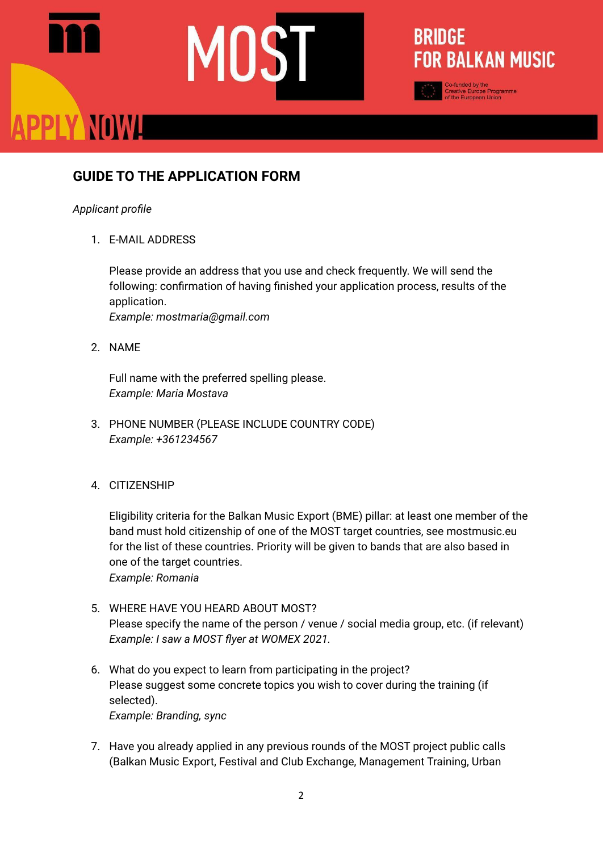# **GUIDE TO THE APPLICATION FORM**

### *Applicant profile*

PPLY NOWL

1. E-MAIL ADDRESS

Please provide an address that you use and check frequently. We will send the following: confirmation of having finished your application process, results of the application. *Example: mostmaria@gmail.com*

**BRIDGE** 

**FOR BALKAN MUSIC** 

2. NAME

Full name with the preferred spelling please. *Example: Maria Mostava*

3. PHONE NUMBER (PLEASE INCLUDE COUNTRY CODE) *Example: +361234567*

# 4. CITIZENSHIP

Eligibility criteria for the Balkan Music Export (BME) pillar: at least one member of the band must hold citizenship of one of the MOST target countries, see mostmusic.eu for the list of these countries. Priority will be given to bands that are also based in one of the target countries. *Example: Romania*

- 5. WHERE HAVE YOU HEARD ABOUT MOST? Please specify the name of the person / venue / social media group, etc. (if relevant) *Example: I saw a MOST flyer at WOMEX 2021.*
- 6. What do you expect to learn from participating in the project? Please suggest some concrete topics you wish to cover during the training (if selected). *Example: Branding, sync*
- 7. Have you already applied in any previous rounds of the MOST project public calls (Balkan Music Export, Festival and Club Exchange, Management Training, Urban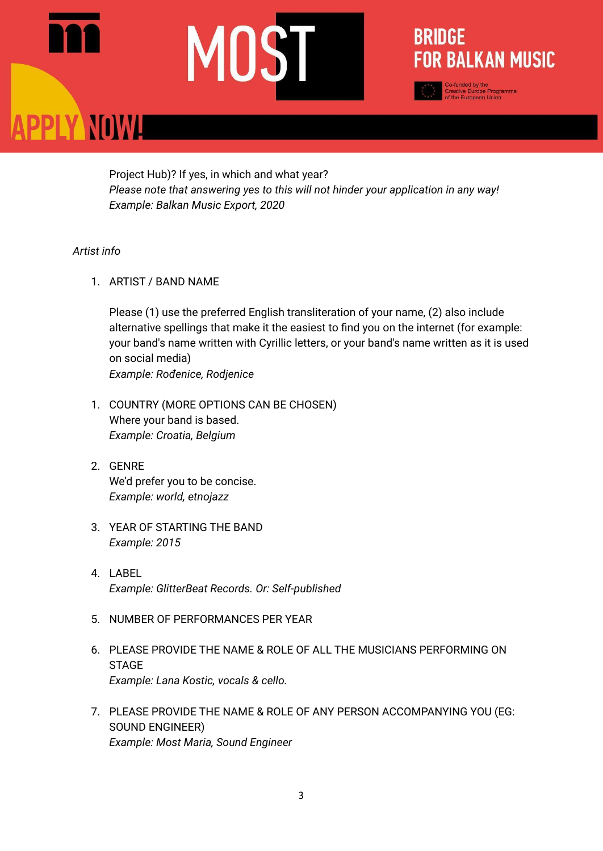# **ANOWLE**

Project Hub)? If yes, in which and what year? *Please note that answering yes to this will not hinder your application in any way! Example: Balkan Music Export, 2020*

**BRIDGE** 

**FOR BALKAN MUSIC** 

funded by the<br>ative Europe Programme<br>he European Union

# *Artist info*

1. ARTIST / BAND NAME

Please (1) use the preferred English transliteration of your name, (2) also include alternative spellings that make it the easiest to find you on the internet (for example: your band's name written with Cyrillic letters, or your band's name written as it is used on social media) *Example: Rođenice, Rodjenice*

- 1. COUNTRY (MORE OPTIONS CAN BE CHOSEN) Where your band is based. *Example: Croatia, Belgium*
- 2. GENRE We'd prefer you to be concise. *Example: world, etnojazz*
- 3. YEAR OF STARTING THE BAND *Example: 2015*
- 4. LABEL *Example: GlitterBeat Records. Or: Self-published*
- 5. NUMBER OF PERFORMANCES PER YEAR
- 6. PLEASE PROVIDE THE NAME & ROLE OF ALL THE MUSICIANS PERFORMING ON **STAGE** *Example: Lana Kostic, vocals & cello.*
- 7. PLEASE PROVIDE THE NAME & ROLE OF ANY PERSON ACCOMPANYING YOU (EG: SOUND ENGINEER) *Example: Most Maria, Sound Engineer*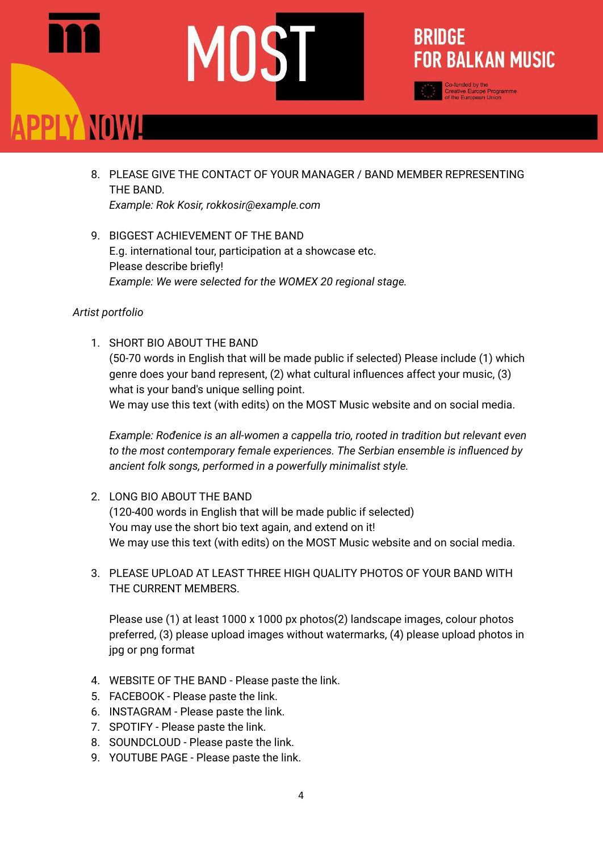# PLY NOWL

8. PLEASE GIVE THE CONTACT OF YOUR MANAGER / BAND MEMBER REPRESENTING THE BAND. *Example: Rok Kosir, rokkosir@example.com*

**BRIDGE** 

**FOR BALKAN MUSIC** 

9. BIGGEST ACHIEVEMENT OF THE BAND E.g. international tour, participation at a showcase etc. Please describe briefly! *Example: We were selected for the WOMEX 20 regional stage.*

# *Artist portfolio*

1. SHORT BIO ABOUT THE BAND (50-70 words in English that will be made public if selected) Please include (1) which genre does your band represent, (2) what cultural influences affect your music, (3) what is your band's unique selling point. We may use this text (with edits) on the MOST Music website and on social media.

*Example: Rođenice is an all-women a cappella trio, rooted in tradition but relevant even to the most contemporary female experiences. The Serbian ensemble is influenced by ancient folk songs, performed in a powerfully minimalist style.*

- 2. LONG BIO ABOUT THE BAND (120-400 words in English that will be made public if selected) You may use the short bio text again, and extend on it! We may use this text (with edits) on the MOST Music website and on social media.
- 3. PLEASE UPLOAD AT LEAST THREE HIGH QUALITY PHOTOS OF YOUR BAND WITH THE CURRENT MEMBERS.

Please use (1) at least 1000 x 1000 px photos(2) landscape images, colour photos preferred, (3) please upload images without watermarks, (4) please upload photos in jpg or png format

- 4. WEBSITE OF THE BAND Please paste the link.
- 5. FACEBOOK Please paste the link.
- 6. INSTAGRAM Please paste the link.
- 7. SPOTIFY Please paste the link.
- 8. SOUNDCLOUD Please paste the link.
- 9. YOUTUBE PAGE Please paste the link.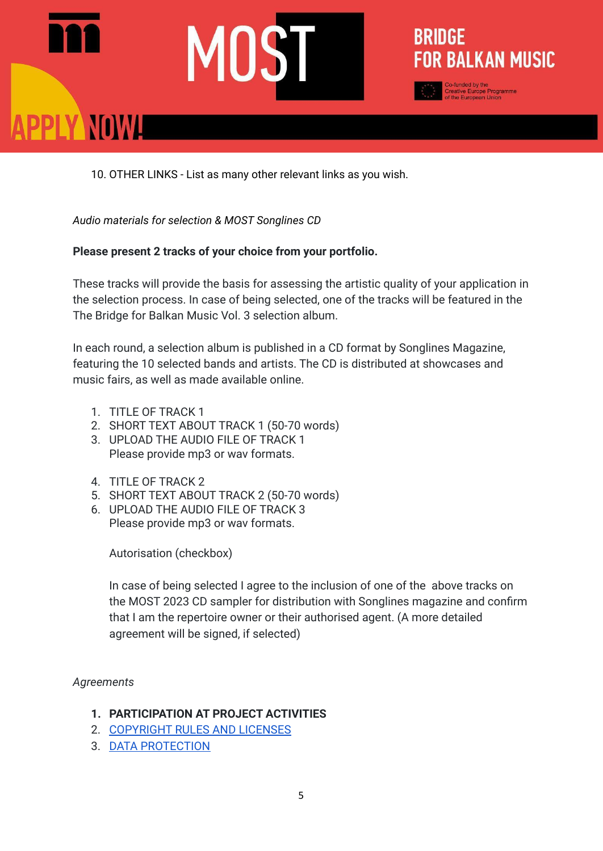# **PLY NOWLE**



10. OTHER LINKS - List as many other relevant links as you wish.

*Audio materials for selection & MOST Songlines CD*

# **Please present 2 tracks of your choice from your portfolio.**

These tracks will provide the basis for assessing the artistic quality of your application in the selection process. In case of being selected, one of the tracks will be featured in the The Bridge for Balkan Music Vol. 3 selection album.

In each round, a selection album is published in a CD format by Songlines Magazine, featuring the 10 selected bands and artists. The CD is distributed at showcases and music fairs, as well as made available online.

- 1. TITLE OF TRACK 1
- 2. SHORT TEXT ABOUT TRACK 1 (50-70 words)
- 3. UPLOAD THE AUDIO FILE OF TRACK 1 Please provide mp3 or wav formats.
- 4. TITLE OF TRACK 2
- 5. SHORT TEXT ABOUT TRACK 2 (50-70 words)
- 6. UPLOAD THE AUDIO FILE OF TRACK 3 Please provide mp3 or wav formats.

Autorisation (checkbox)

In case of being selected I agree to the inclusion of one of the above tracks on the MOST 2023 CD sampler for distribution with Songlines magazine and confirm that I am the repertoire owner or their authorised agent. (A more detailed agreement will be signed, if selected)

# *Agreements*

- **1. PARTICIPATION AT PROJECT ACTIVITIES**
- 2. [COPYRIGHT](https://mostmusic.eu/copyright-rules-licenses-most/) RULES AND LICENSES
- 3. DATA [PROTECTION](https://mostmusic.eu/INFORMATION-AND-DATA-MANAGEMENT/)